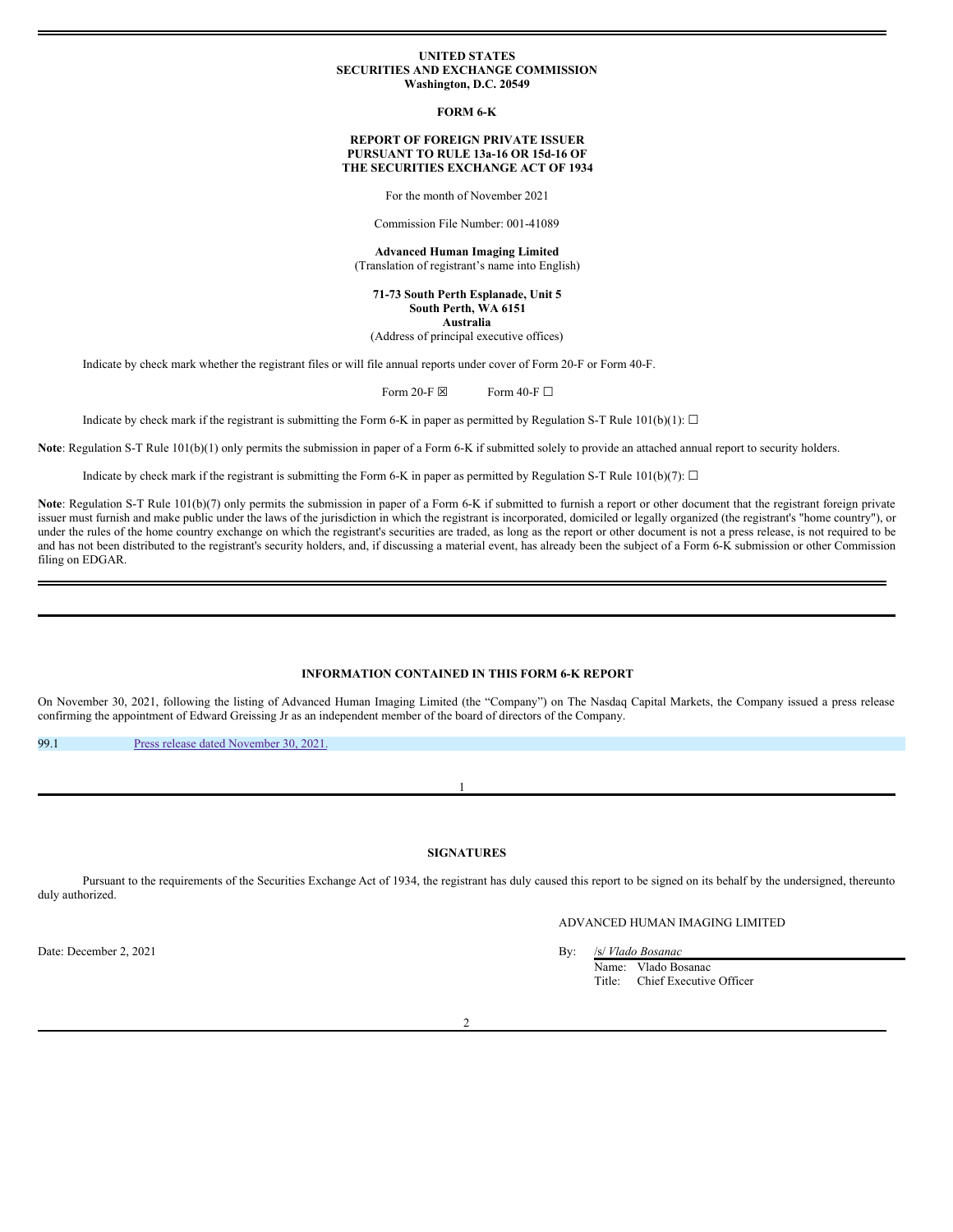# **UNITED STATES SECURITIES AND EXCHANGE COMMISSION Washington, D.C. 20549**

**FORM 6-K**

# **REPORT OF FOREIGN PRIVATE ISSUER PURSUANT TO RULE 13a-16 OR 15d-16 OF THE SECURITIES EXCHANGE ACT OF 1934**

For the month of November 2021

Commission File Number: 001-41089

**Advanced Human Imaging Limited** (Translation of registrant's name into English)

**71-73 South Perth Esplanade, Unit 5 South Perth, WA 6151 Australia**

(Address of principal executive offices)

Indicate by check mark whether the registrant files or will file annual reports under cover of Form 20-F or Form 40-F.

Form 20-F  $\boxtimes$  Form 40-F  $\Box$ 

Indicate by check mark if the registrant is submitting the Form 6-K in paper as permitted by Regulation S-T Rule 101(b)(1):  $\Box$ 

**Note**: Regulation S-T Rule 101(b)(1) only permits the submission in paper of a Form 6-K if submitted solely to provide an attached annual report to security holders.

Indicate by check mark if the registrant is submitting the Form 6-K in paper as permitted by Regulation S-T Rule 101(b)(7):  $\Box$ 

Note: Regulation S-T Rule 101(b)(7) only permits the submission in paper of a Form 6-K if submitted to furnish a report or other document that the registrant foreign private issuer must furnish and make public under the laws of the jurisdiction in which the registrant is incorporated, domiciled or legally organized (the registrant's "home country"), or under the rules of the home country exchange on which the registrant's securities are traded, as long as the report or other document is not a press release, is not required to be and has not been distributed to the registrant's security holders, and, if discussing a material event, has already been the subject of a Form 6-K submission or other Commission filing on EDGAR.

# **INFORMATION CONTAINED IN THIS FORM 6-K REPORT**

On November 30, 2021, following the listing of Advanced Human Imaging Limited (the "Company") on The Nasdaq Capital Markets, the Company issued a press release confirming the appointment of Edward Greissing Jr as an independent member of the board of directors of the Company.

99.1 Press release dated [November](#page-1-0) 30, 2021.

# **SIGNATURES**

1

Pursuant to the requirements of the Securities Exchange Act of 1934, the registrant has duly caused this report to be signed on its behalf by the undersigned, thereunto duly authorized.

ADVANCED HUMAN IMAGING LIMITED

Name: Vlado Bosanac Title: Chief Executive Officer

Date: December 2, 2021 By: /s/ *Vlado Bosanac*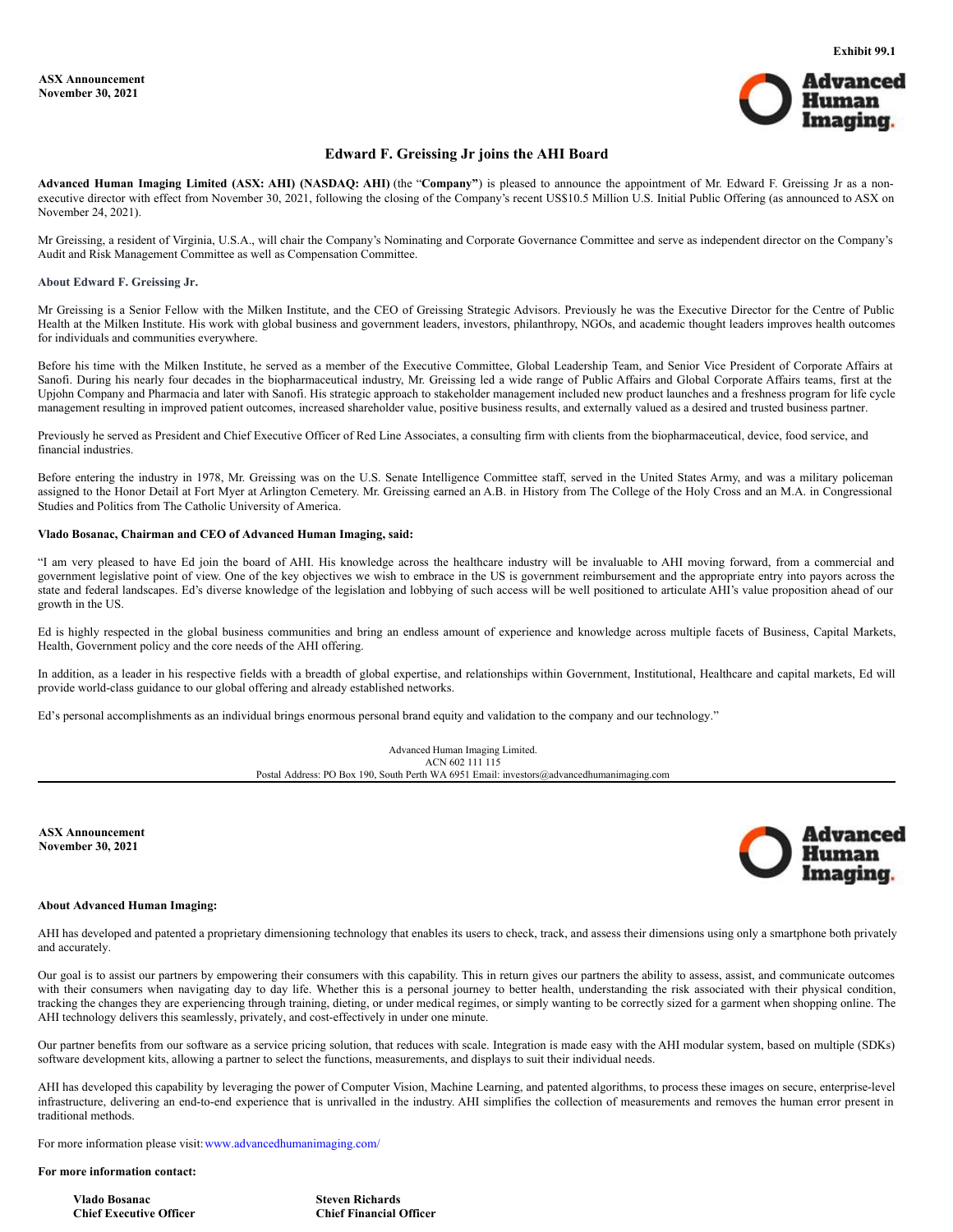

# **Edward F. Greissing Jr joins the AHI Board**

<span id="page-1-0"></span>**Advanced Human Imaging Limited (ASX: AHI) (NASDAQ: AHI)** (the "**Company"**) is pleased to announce the appointment of Mr. Edward F. Greissing Jr as a nonexecutive director with effect from November 30, 2021, following the closing of the Company's recent US\$10.5 Million U.S. Initial Public Offering (as announced to ASX on November 24, 2021).

Mr Greissing, a resident of Virginia, U.S.A., will chair the Company's Nominating and Corporate Governance Committee and serve as independent director on the Company's Audit and Risk Management Committee as well as Compensation Committee.

#### **About Edward F. Greissing Jr.**

Mr Greissing is a Senior Fellow with the Milken Institute, and the CEO of Greissing Strategic Advisors. Previously he was the Executive Director for the Centre of Public Health at the Milken Institute. His work with global business and government leaders, investors, philanthropy, NGOs, and academic thought leaders improves health outcomes for individuals and communities everywhere.

Before his time with the Milken Institute, he served as a member of the Executive Committee, Global Leadership Team, and Senior Vice President of Corporate Affairs at Sanofi. During his nearly four decades in the biopharmaceutical industry, Mr. Greissing led a wide range of Public Affairs and Global Corporate Affairs teams, first at the Upjohn Company and Pharmacia and later with Sanofi. His strategic approach to stakeholder management included new product launches and a freshness program for life cycle management resulting in improved patient outcomes, increased shareholder value, positive business results, and externally valued as a desired and trusted business partner.

Previously he served as President and Chief Executive Officer of Red Line Associates, a consulting firm with clients from the biopharmaceutical, device, food service, and financial industries.

Before entering the industry in 1978, Mr. Greissing was on the U.S. Senate Intelligence Committee staff, served in the United States Army, and was a military policeman assigned to the Honor Detail at Fort Myer at Arlington Cemetery. Mr. Greissing earned an A.B. in History from The College of the Holy Cross and an M.A. in Congressional Studies and Politics from The Catholic University of America.

# **Vlado Bosanac, Chairman and CEO of Advanced Human Imaging, said:**

"I am very pleased to have Ed join the board of AHI. His knowledge across the healthcare industry will be invaluable to AHI moving forward, from a commercial and government legislative point of view. One of the key objectives we wish to embrace in the US is government reimbursement and the appropriate entry into payors across the state and federal landscapes. Ed's diverse knowledge of the legislation and lobbying of such access will be well positioned to articulate AHI's value proposition ahead of our growth in the US.

Ed is highly respected in the global business communities and bring an endless amount of experience and knowledge across multiple facets of Business, Capital Markets, Health, Government policy and the core needs of the AHI offering.

In addition, as a leader in his respective fields with a breadth of global expertise, and relationships within Government, Institutional, Healthcare and capital markets, Ed will provide world-class guidance to our global offering and already established networks.

Ed's personal accomplishments as an individual brings enormous personal brand equity and validation to the company and our technology."



**ASX Announcement November 30, 2021**



# **About Advanced Human Imaging:**

AHI has developed and patented a proprietary dimensioning technology that enables its users to check, track, and assess their dimensions using only a smartphone both privately and accurately.

Our goal is to assist our partners by empowering their consumers with this capability. This in return gives our partners the ability to assess, assist, and communicate outcomes with their consumers when navigating day to day life. Whether this is a personal journey to better health, understanding the risk associated with their physical condition, tracking the changes they are experiencing through training, dieting, or under medical regimes, or simply wanting to be correctly sized for a garment when shopping online. The AHI technology delivers this seamlessly, privately, and cost-effectively in under one minute.

Our partner benefits from our software as a service pricing solution, that reduces with scale. Integration is made easy with the AHI modular system, based on multiple (SDKs) software development kits, allowing a partner to select the functions, measurements, and displays to suit their individual needs.

AHI has developed this capability by leveraging the power of Computer Vision, Machine Learning, and patented algorithms, to process these images on secure, enterprise-level infrastructure, delivering an end-to-end experience that is unrivalled in the industry. AHI simplifies the collection of measurements and removes the human error present in traditional methods.

For more information please visit: www.advancedhumanimaging.com/

# **For more information contact:**

**Vlado Bosanac Steven Richards Chief Executive Officer Chief Financial Officer**